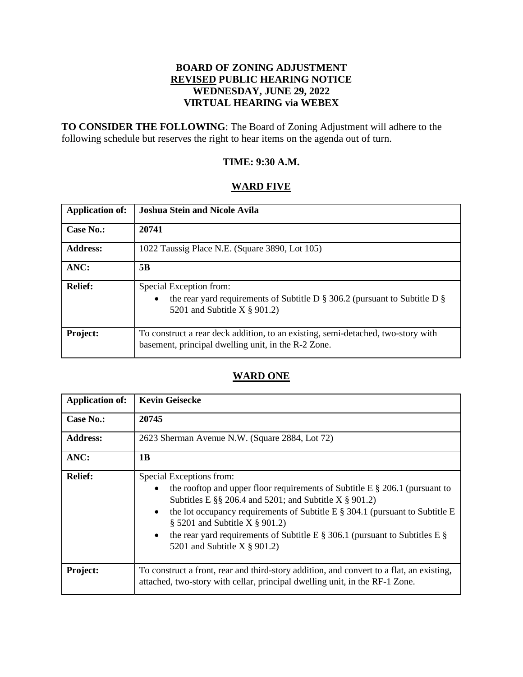# **BOARD OF ZONING ADJUSTMENT REVISED PUBLIC HEARING NOTICE WEDNESDAY, JUNE 29, 2022 VIRTUAL HEARING via WEBEX**

**TO CONSIDER THE FOLLOWING**: The Board of Zoning Adjustment will adhere to the following schedule but reserves the right to hear items on the agenda out of turn.

# **TIME: 9:30 A.M.**

# **WARD FIVE**

| <b>Application of:</b> | <b>Joshua Stein and Nicole Avila</b>                                                                                                                        |
|------------------------|-------------------------------------------------------------------------------------------------------------------------------------------------------------|
| <b>Case No.:</b>       | 20741                                                                                                                                                       |
| <b>Address:</b>        | 1022 Taussig Place N.E. (Square 3890, Lot 105)                                                                                                              |
| ANC:                   | 5B                                                                                                                                                          |
| <b>Relief:</b>         | Special Exception from:<br>the rear yard requirements of Subtitle D $\S$ 306.2 (pursuant to Subtitle D $\S$<br>$\bullet$<br>5201 and Subtitle X $\S$ 901.2) |
| Project:               | To construct a rear deck addition, to an existing, semi-detached, two-story with<br>basement, principal dwelling unit, in the R-2 Zone.                     |

# **WARD ONE**

| <b>Application of:</b> | <b>Kevin Geisecke</b>                                                                                                                                                                                                                                                                                                                                                                                                                     |
|------------------------|-------------------------------------------------------------------------------------------------------------------------------------------------------------------------------------------------------------------------------------------------------------------------------------------------------------------------------------------------------------------------------------------------------------------------------------------|
| <b>Case No.:</b>       | 20745                                                                                                                                                                                                                                                                                                                                                                                                                                     |
| <b>Address:</b>        | 2623 Sherman Avenue N.W. (Square 2884, Lot 72)                                                                                                                                                                                                                                                                                                                                                                                            |
| ANC:                   | 1B                                                                                                                                                                                                                                                                                                                                                                                                                                        |
| <b>Relief:</b>         | Special Exceptions from:<br>the rooftop and upper floor requirements of Subtitle E $\S 206.1$ (pursuant to<br>Subtitles E $\S$ 206.4 and 5201; and Subtitle X $\S$ 901.2)<br>the lot occupancy requirements of Subtitle E $\S$ 304.1 (pursuant to Subtitle E<br>$\bullet$<br>$\S$ 5201 and Subtitle X $\S$ 901.2)<br>the rear yard requirements of Subtitle E $\S$ 306.1 (pursuant to Subtitles E $\S$<br>5201 and Subtitle X $\S$ 901.2) |
| Project:               | To construct a front, rear and third-story addition, and convert to a flat, an existing,<br>attached, two-story with cellar, principal dwelling unit, in the RF-1 Zone.                                                                                                                                                                                                                                                                   |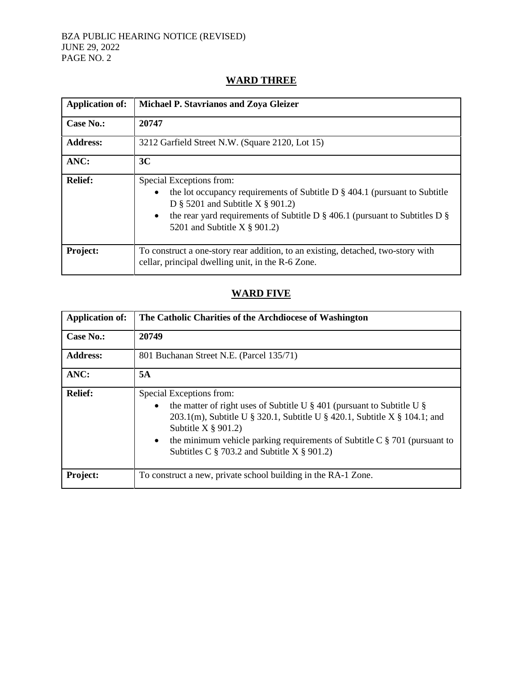#### BZA PUBLIC HEARING NOTICE (REVISED) JUNE 29, 2022 PAGE NO. 2

# **Application of: Michael P. Stavrianos and Zoya Gleizer Case No.: 20747 Address:** 3212 Garfield Street N.W. (Square 2120, Lot 15) **ANC: 3C Relief:** Special Exceptions from: • the lot occupancy requirements of Subtitle D § 404.1 (pursuant to Subtitle D § 5201 and Subtitle X § 901.2) • the rear yard requirements of Subtitle D  $\S$  406.1 (pursuant to Subtitles D  $\S$ 5201 and Subtitle X § 901.2) **Project:** To construct a one-story rear addition, to an existing, detached, two-story with cellar, principal dwelling unit, in the R-6 Zone.

# **WARD THREE**

# **WARD FIVE**

| <b>Application of:</b> | The Catholic Charities of the Archdiocese of Washington                                                                                                                                                                                                                                                                                                                       |
|------------------------|-------------------------------------------------------------------------------------------------------------------------------------------------------------------------------------------------------------------------------------------------------------------------------------------------------------------------------------------------------------------------------|
| <b>Case No.:</b>       | 20749                                                                                                                                                                                                                                                                                                                                                                         |
| <b>Address:</b>        | 801 Buchanan Street N.E. (Parcel 135/71)                                                                                                                                                                                                                                                                                                                                      |
| ANC:                   | 5A                                                                                                                                                                                                                                                                                                                                                                            |
| <b>Relief:</b>         | Special Exceptions from:<br>the matter of right uses of Subtitle U $\S$ 401 (pursuant to Subtitle U $\S$<br>$\bullet$<br>203.1(m), Subtitle U § 320.1, Subtitle U § 420.1, Subtitle X § 104.1; and<br>Subtitle $X \$ 901.2)<br>the minimum vehicle parking requirements of Subtitle C $\S$ 701 (pursuant to<br>$\bullet$<br>Subtitles C $\S$ 703.2 and Subtitle X $\S$ 901.2) |
| Project:               | To construct a new, private school building in the RA-1 Zone.                                                                                                                                                                                                                                                                                                                 |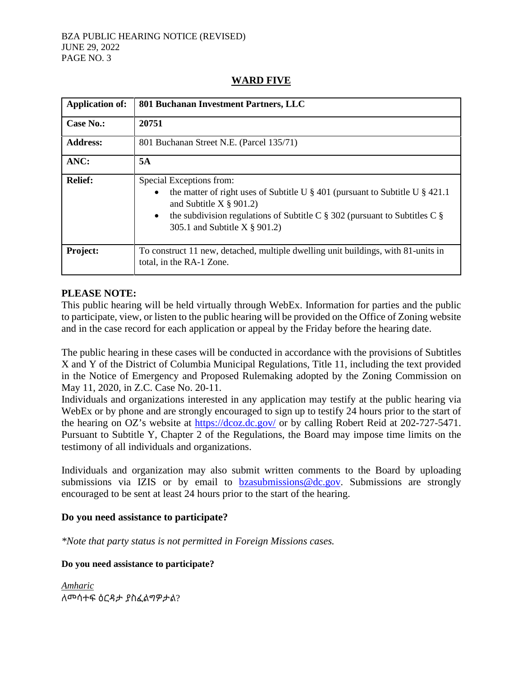#### BZA PUBLIC HEARING NOTICE (REVISED) JUNE 29, 2022 PAGE NO. 3

| <b>Application of:</b> | 801 Buchanan Investment Partners, LLC                                                                                                                                                                                                                                                      |
|------------------------|--------------------------------------------------------------------------------------------------------------------------------------------------------------------------------------------------------------------------------------------------------------------------------------------|
| Case No.:              | 20751                                                                                                                                                                                                                                                                                      |
| <b>Address:</b>        | 801 Buchanan Street N.E. (Parcel 135/71)                                                                                                                                                                                                                                                   |
| ANC:                   | 5A                                                                                                                                                                                                                                                                                         |
| <b>Relief:</b>         | Special Exceptions from:<br>the matter of right uses of Subtitle U $\S$ 401 (pursuant to Subtitle U $\S$ 421.1<br>$\bullet$<br>and Subtitle $X \$ 901.2)<br>the subdivision regulations of Subtitle C $\S$ 302 (pursuant to Subtitles C $\S$<br>$\bullet$<br>305.1 and Subtitle X § 901.2) |
| Project:               | To construct 11 new, detached, multiple dwelling unit buildings, with 81-units in<br>total, in the RA-1 Zone.                                                                                                                                                                              |

# **WARD FIVE**

## **PLEASE NOTE:**

This public hearing will be held virtually through WebEx. Information for parties and the public to participate, view, or listen to the public hearing will be provided on the Office of Zoning website and in the case record for each application or appeal by the Friday before the hearing date.

The public hearing in these cases will be conducted in accordance with the provisions of Subtitles X and Y of the District of Columbia Municipal Regulations, Title 11, including the text provided in the Notice of Emergency and Proposed Rulemaking adopted by the Zoning Commission on May 11, 2020, in Z.C. Case No. 20-11.

Individuals and organizations interested in any application may testify at the public hearing via WebEx or by phone and are strongly encouraged to sign up to testify 24 hours prior to the start of the hearing on OZ's website at<https://dcoz.dc.gov/> or by calling Robert Reid at 202-727-5471. Pursuant to Subtitle Y, Chapter 2 of the Regulations, the Board may impose time limits on the testimony of all individuals and organizations.

Individuals and organization may also submit written comments to the Board by uploading submissions via IZIS or by email to **bzasubmissions@dc.gov**. Submissions are strongly encouraged to be sent at least 24 hours prior to the start of the hearing.

## **Do you need assistance to participate?**

*\*Note that party status is not permitted in Foreign Missions cases.*

## **Do you need assistance to participate?**

*Amharic* ለመሳተፍ ዕርዳታ ያስፈልግዎታል?